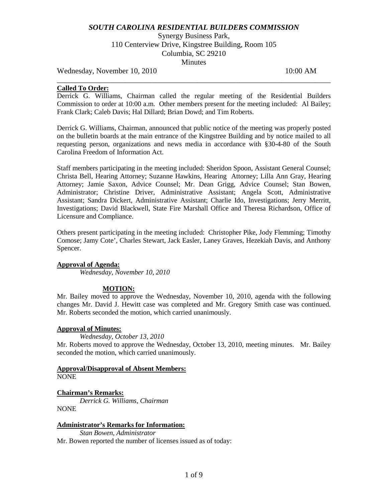Synergy Business Park, 110 Centerview Drive, Kingstree Building, Room 105 Columbia, SC 29210 **Minutes** 

Wednesday, November 10, 2010 10:00 AM

## **Called To Order:**

Derrick G. Williams, Chairman called the regular meeting of the Residential Builders Commission to order at 10:00 a.m. Other members present for the meeting included: Al Bailey; Frank Clark; Caleb Davis; Hal Dillard; Brian Dowd; and Tim Roberts.

\_\_\_\_\_\_\_\_\_\_\_\_\_\_\_\_\_\_\_\_\_\_\_\_\_\_\_\_\_\_\_\_\_\_\_\_\_\_\_\_\_\_\_\_\_\_\_\_\_\_\_\_\_\_\_\_\_\_\_\_\_\_\_\_\_\_\_\_\_\_\_\_

Derrick G. Williams, Chairman, announced that public notice of the meeting was properly posted on the bulletin boards at the main entrance of the Kingstree Building and by notice mailed to all requesting person, organizations and news media in accordance with §30-4-80 of the South Carolina Freedom of Information Act.

Staff members participating in the meeting included: Sheridon Spoon, Assistant General Counsel; Christa Bell, Hearing Attorney; Suzanne Hawkins, Hearing Attorney; Lilla Ann Gray, Hearing Attorney; Jamie Saxon, Advice Counsel; Mr. Dean Grigg, Advice Counsel; Stan Bowen, Administrator; Christine Driver, Administrative Assistant; Angela Scott, Administrative Assistant; Sandra Dickert, Administrative Assistant; Charlie Ido, Investigations; Jerry Merritt, Investigations; David Blackwell, State Fire Marshall Office and Theresa Richardson, Office of Licensure and Compliance.

Others present participating in the meeting included: Christopher Pike, Jody Flemming; Timothy Comose; Jamy Cote', Charles Stewart, Jack Easler, Laney Graves, Hezekiah Davis, and Anthony Spencer.

## **Approval of Agenda:**

*Wednesday, November 10, 2010*

### **MOTION:**

Mr. Bailey moved to approve the Wednesday, November 10, 2010, agenda with the following changes Mr. David J. Hewitt case was completed and Mr. Gregory Smith case was continued. Mr. Roberts seconded the motion, which carried unanimously.

### **Approval of Minutes:**

*Wednesday, October 13, 2010* Mr. Roberts moved to approve the Wednesday, October 13, 2010, meeting minutes. Mr. Bailey seconded the motion, which carried unanimously.

#### **Approval/Disapproval of Absent Members:** NONE

**Chairman's Remarks:** *Derrick G. Williams, Chairman* NONE

### **Administrator's Remarks for Information:**

*Stan Bowen, Administrator* Mr. Bowen reported the number of licenses issued as of today: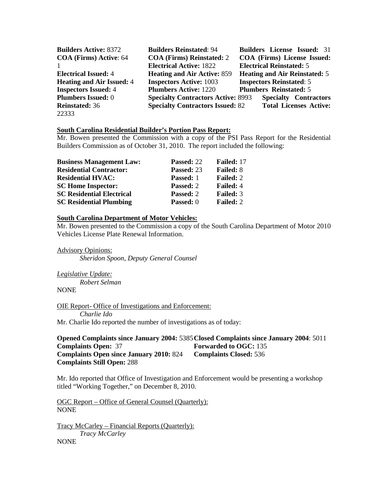| <b>Builders Active: 8372</b>     | <b>Builders Reinstated: 94</b>            |                                 |                                 | <b>Builders License Issued: 31</b>   |
|----------------------------------|-------------------------------------------|---------------------------------|---------------------------------|--------------------------------------|
| <b>COA</b> (Firms) Active: 64    | <b>COA (Firms) Reinstated: 2</b>          |                                 |                                 | COA (Firms) License Issued:          |
|                                  | <b>Electrical Active: 1822</b>            | <b>Electrical Reinstated: 5</b> |                                 |                                      |
| <b>Electrical Issued: 4</b>      | <b>Heating and Air Active: 859</b>        |                                 |                                 | <b>Heating and Air Reinstated: 5</b> |
| <b>Heating and Air Issued: 4</b> | <b>Inspectors Active: 1003</b>            |                                 | <b>Inspectors Reinstated: 5</b> |                                      |
| <b>Inspectors Issued: 4</b>      | <b>Plumbers Active: 1220</b>              |                                 | <b>Plumbers Reinstated: 5</b>   |                                      |
| <b>Plumbers Issued: 0</b>        | <b>Specialty Contractors Active: 8993</b> |                                 |                                 | <b>Specialty Contractors</b>         |
| <b>Reinstated: 36</b>            | <b>Specialty Contractors Issued: 82</b>   |                                 |                                 | <b>Total Licenses Active:</b>        |
| 22333                            |                                           |                                 |                                 |                                      |

# **South Carolina Residential Builder's Portion Pass Report:**

Mr. Bowen presented the Commission with a copy of the PSI Pass Report for the Residential Builders Commission as of October 31, 2010. The report included the following:

| <b>Business Management Law:</b>  | Passed: 22       | Failed: 17       |
|----------------------------------|------------------|------------------|
| <b>Residential Contractor:</b>   | Passed: 23       | <b>Failed: 8</b> |
| <b>Residential HVAC:</b>         | <b>Passed:</b> 1 | <b>Failed: 2</b> |
| <b>SC Home Inspector:</b>        | Passed: 2        | <b>Failed: 4</b> |
| <b>SC Residential Electrical</b> | Passed: 2        | <b>Failed: 3</b> |
| <b>SC Residential Plumbing</b>   | Passed: 0        | <b>Failed: 2</b> |

#### **South Carolina Department of Motor Vehicles:**

Mr. Bowen presented to the Commission a copy of the South Carolina Department of Motor 2010 Vehicles License Plate Renewal Information.

Advisory Opinions: *Sheridon Spoon, Deputy General Counsel*

*Legislative Update: Robert Selman* **NONE** 

OIE Report- Office of Investigations and Enforcement: *Charlie Ido* Mr. Charlie Ido reported the number of investigations as of today:

**Opened Complaints since January 2004:** 5385**Closed Complaints since January 2004**: 5011 **Complaints Open: 37 Forwarded to OGC: 135 Complaints Open since January 2010:** 824 **Complaints Closed:** 536 **Complaints Still Open:** 288

Mr. Ido reported that Office of Investigation and Enforcement would be presenting a workshop titled "Working Together," on December 8, 2010.

OGC Report – Office of General Counsel (Quarterly): NONE

Tracy McCarley – Financial Reports (Quarterly): *Tracy McCarley* NONE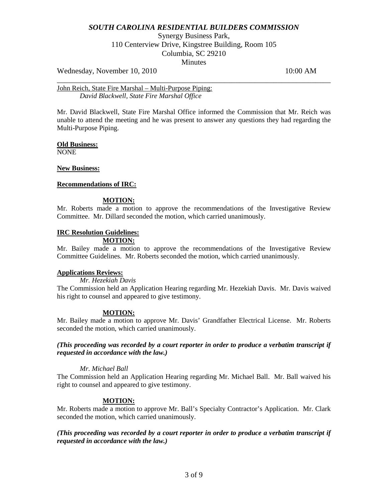Synergy Business Park, 110 Centerview Drive, Kingstree Building, Room 105 Columbia, SC 29210 **Minutes** 

\_\_\_\_\_\_\_\_\_\_\_\_\_\_\_\_\_\_\_\_\_\_\_\_\_\_\_\_\_\_\_\_\_\_\_\_\_\_\_\_\_\_\_\_\_\_\_\_\_\_\_\_\_\_\_\_\_\_\_\_\_\_\_\_\_\_\_\_\_\_\_\_

Wednesday, November 10, 2010 10:00 AM

John Reich, State Fire Marshal – Multi-Purpose Piping: *David Blackwell, State Fire Marshal Office*

Mr. David Blackwell, State Fire Marshal Office informed the Commission that Mr. Reich was unable to attend the meeting and he was present to answer any questions they had regarding the Multi-Purpose Piping.

### **Old Business:**

NONE

### **New Business:**

#### **Recommendations of IRC:**

#### **MOTION:**

Mr. Roberts made a motion to approve the recommendations of the Investigative Review Committee. Mr. Dillard seconded the motion, which carried unanimously.

### **IRC Resolution Guidelines:**

### **MOTION:**

Mr. Bailey made a motion to approve the recommendations of the Investigative Review Committee Guidelines. Mr. Roberts seconded the motion, which carried unanimously.

### **Applications Reviews:**

## *Mr. Hezekiah Davis*

The Commission held an Application Hearing regarding Mr. Hezekiah Davis. Mr. Davis waived his right to counsel and appeared to give testimony.

#### **MOTION:**

Mr. Bailey made a motion to approve Mr. Davis' Grandfather Electrical License. Mr. Roberts seconded the motion, which carried unanimously.

## *(This proceeding was recorded by a court reporter in order to produce a verbatim transcript if requested in accordance with the law.)*

#### *Mr. Michael Ball*

The Commission held an Application Hearing regarding Mr. Michael Ball. Mr. Ball waived his right to counsel and appeared to give testimony.

### **MOTION:**

Mr. Roberts made a motion to approve Mr. Ball's Specialty Contractor's Application. Mr. Clark seconded the motion, which carried unanimously.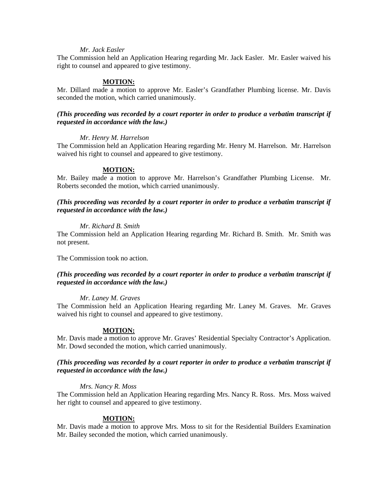### *Mr. Jack Easler*

The Commission held an Application Hearing regarding Mr. Jack Easler. Mr. Easler waived his right to counsel and appeared to give testimony.

#### **MOTION:**

Mr. Dillard made a motion to approve Mr. Easler's Grandfather Plumbing license. Mr. Davis seconded the motion, which carried unanimously.

## *(This proceeding was recorded by a court reporter in order to produce a verbatim transcript if requested in accordance with the law.)*

#### *Mr. Henry M. Harrelson*

The Commission held an Application Hearing regarding Mr. Henry M. Harrelson. Mr. Harrelson waived his right to counsel and appeared to give testimony.

#### **MOTION:**

Mr. Bailey made a motion to approve Mr. Harrelson's Grandfather Plumbing License. Mr. Roberts seconded the motion, which carried unanimously.

### *(This proceeding was recorded by a court reporter in order to produce a verbatim transcript if requested in accordance with the law.)*

#### *Mr. Richard B. Smith*

The Commission held an Application Hearing regarding Mr. Richard B. Smith. Mr. Smith was not present.

The Commission took no action.

## *(This proceeding was recorded by a court reporter in order to produce a verbatim transcript if requested in accordance with the law.)*

#### *Mr. Laney M. Graves*

The Commission held an Application Hearing regarding Mr. Laney M. Graves. Mr. Graves waived his right to counsel and appeared to give testimony.

#### **MOTION:**

Mr. Davis made a motion to approve Mr. Graves' Residential Specialty Contractor's Application. Mr. Dowd seconded the motion, which carried unanimously.

### *(This proceeding was recorded by a court reporter in order to produce a verbatim transcript if requested in accordance with the law.)*

#### *Mrs. Nancy R. Moss*

The Commission held an Application Hearing regarding Mrs. Nancy R. Ross. Mrs. Moss waived her right to counsel and appeared to give testimony.

### **MOTION:**

Mr. Davis made a motion to approve Mrs. Moss to sit for the Residential Builders Examination Mr. Bailey seconded the motion, which carried unanimously.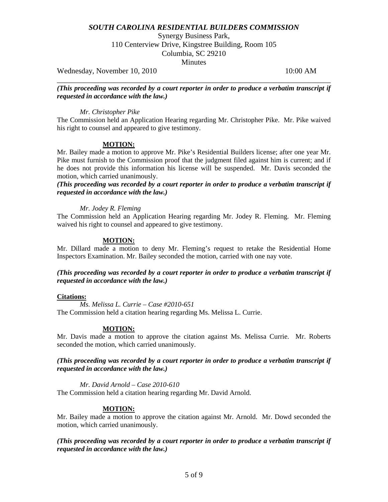Synergy Business Park,

110 Centerview Drive, Kingstree Building, Room 105

Columbia, SC 29210

**Minutes** 

Wednesday, November 10, 2010 10:00 AM

\_\_\_\_\_\_\_\_\_\_\_\_\_\_\_\_\_\_\_\_\_\_\_\_\_\_\_\_\_\_\_\_\_\_\_\_\_\_\_\_\_\_\_\_\_\_\_\_\_\_\_\_\_\_\_\_\_\_\_\_\_\_\_\_\_\_\_\_\_\_\_\_ *(This proceeding was recorded by a court reporter in order to produce a verbatim transcript if requested in accordance with the law.)*

### *Mr. Christopher Pike*

The Commission held an Application Hearing regarding Mr. Christopher Pike. Mr. Pike waived his right to counsel and appeared to give testimony.

## **MOTION:**

Mr. Bailey made a motion to approve Mr. Pike's Residential Builders license; after one year Mr. Pike must furnish to the Commission proof that the judgment filed against him is current; and if he does not provide this information his license will be suspended. Mr. Davis seconded the motion, which carried unanimously.

*(This proceeding was recorded by a court reporter in order to produce a verbatim transcript if requested in accordance with the law.)*

### *Mr. Jodey R. Fleming*

The Commission held an Application Hearing regarding Mr. Jodey R. Fleming. Mr. Fleming waived his right to counsel and appeared to give testimony.

### **MOTION:**

Mr. Dillard made a motion to deny Mr. Fleming's request to retake the Residential Home Inspectors Examination. Mr. Bailey seconded the motion, carried with one nay vote.

## *(This proceeding was recorded by a court reporter in order to produce a verbatim transcript if requested in accordance with the law.)*

### **Citations:**

*Ms. Melissa L. Currie – Case #2010-651* The Commission held a citation hearing regarding Ms. Melissa L. Currie.

## **MOTION:**

Mr. Davis made a motion to approve the citation against Ms. Melissa Currie. Mr. Roberts seconded the motion, which carried unanimously.

## *(This proceeding was recorded by a court reporter in order to produce a verbatim transcript if requested in accordance with the law.)*

*Mr. David Arnold – Case 2010-610*

The Commission held a citation hearing regarding Mr. David Arnold.

## **MOTION:**

Mr. Bailey made a motion to approve the citation against Mr. Arnold. Mr. Dowd seconded the motion, which carried unanimously.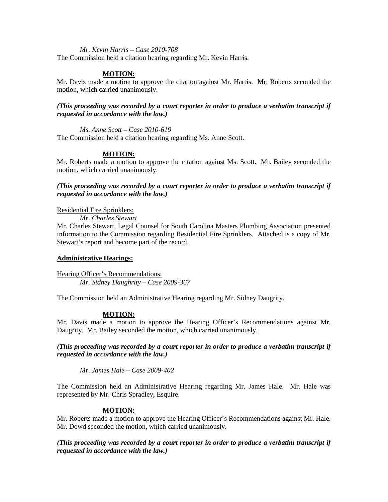*Mr. Kevin Harris – Case 2010-708*

The Commission held a citation hearing regarding Mr. Kevin Harris.

### **MOTION:**

Mr. Davis made a motion to approve the citation against Mr. Harris. Mr. Roberts seconded the motion, which carried unanimously.

### *(This proceeding was recorded by a court reporter in order to produce a verbatim transcript if requested in accordance with the law.)*

*Ms. Anne Scott – Case 2010-619*

The Commission held a citation hearing regarding Ms. Anne Scott.

### **MOTION:**

Mr. Roberts made a motion to approve the citation against Ms. Scott. Mr. Bailey seconded the motion, which carried unanimously.

### *(This proceeding was recorded by a court reporter in order to produce a verbatim transcript if requested in accordance with the law.)*

Residential Fire Sprinklers:

*Mr. Charles Stewart*

Mr. Charles Stewart, Legal Counsel for South Carolina Masters Plumbing Association presented information to the Commission regarding Residential Fire Sprinklers. Attached is a copy of Mr. Stewart's report and become part of the record.

### **Administrative Hearings:**

Hearing Officer's Recommendations: *Mr. Sidney Daughrity – Case 2009-367*

The Commission held an Administrative Hearing regarding Mr. Sidney Daugrity.

## **MOTION:**

Mr. Davis made a motion to approve the Hearing Officer's Recommendations against Mr. Daugrity. Mr. Bailey seconded the motion, which carried unanimously.

*(This proceeding was recorded by a court reporter in order to produce a verbatim transcript if requested in accordance with the law.)*

*Mr. James Hale – Case 2009-402*

The Commission held an Administrative Hearing regarding Mr. James Hale. Mr. Hale was represented by Mr. Chris Spradley, Esquire.

### **MOTION:**

Mr. Roberts made a motion to approve the Hearing Officer's Recommendations against Mr. Hale. Mr. Dowd seconded the motion, which carried unanimously.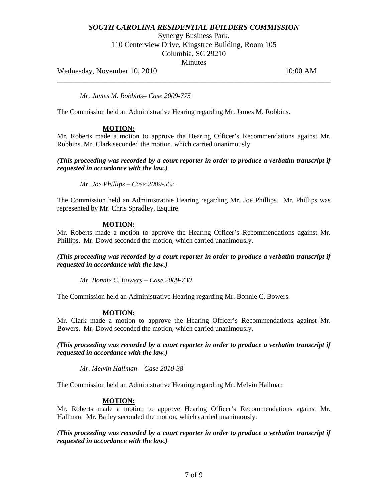Synergy Business Park,

110 Centerview Drive, Kingstree Building, Room 105

Columbia, SC 29210

**Minutes** 

\_\_\_\_\_\_\_\_\_\_\_\_\_\_\_\_\_\_\_\_\_\_\_\_\_\_\_\_\_\_\_\_\_\_\_\_\_\_\_\_\_\_\_\_\_\_\_\_\_\_\_\_\_\_\_\_\_\_\_\_\_\_\_\_\_\_\_\_\_\_\_\_

Wednesday, November 10, 2010 10:00 AM

*Mr. James M. Robbins– Case 2009-775*

The Commission held an Administrative Hearing regarding Mr. James M. Robbins.

## **MOTION:**

Mr. Roberts made a motion to approve the Hearing Officer's Recommendations against Mr. Robbins. Mr. Clark seconded the motion, which carried unanimously.

*(This proceeding was recorded by a court reporter in order to produce a verbatim transcript if requested in accordance with the law.)*

*Mr. Joe Phillips – Case 2009-552*

The Commission held an Administrative Hearing regarding Mr. Joe Phillips. Mr. Phillips was represented by Mr. Chris Spradley, Esquire.

## **MOTION:**

Mr. Roberts made a motion to approve the Hearing Officer's Recommendations against Mr. Phillips. Mr. Dowd seconded the motion, which carried unanimously.

*(This proceeding was recorded by a court reporter in order to produce a verbatim transcript if requested in accordance with the law.)*

*Mr. Bonnie C. Bowers – Case 2009-730*

The Commission held an Administrative Hearing regarding Mr. Bonnie C. Bowers.

### **MOTION:**

Mr. Clark made a motion to approve the Hearing Officer's Recommendations against Mr. Bowers. Mr. Dowd seconded the motion, which carried unanimously.

*(This proceeding was recorded by a court reporter in order to produce a verbatim transcript if requested in accordance with the law.)*

*Mr. Melvin Hallman – Case 2010-38*

The Commission held an Administrative Hearing regarding Mr. Melvin Hallman

## **MOTION:**

Mr. Roberts made a motion to approve Hearing Officer's Recommendations against Mr. Hallman. Mr. Bailey seconded the motion, which carried unanimously.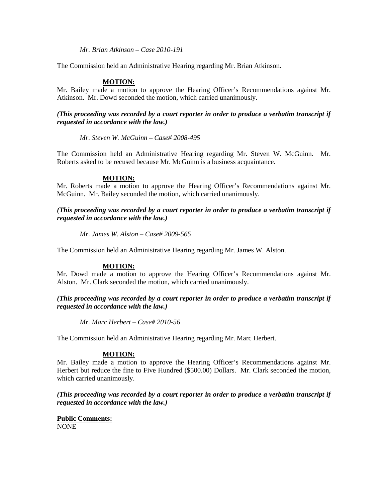*Mr. Brian Atkinson – Case 2010-191*

The Commission held an Administrative Hearing regarding Mr. Brian Atkinson.

### **MOTION:**

Mr. Bailey made a motion to approve the Hearing Officer's Recommendations against Mr. Atkinson. Mr. Dowd seconded the motion, which carried unanimously.

*(This proceeding was recorded by a court reporter in order to produce a verbatim transcript if requested in accordance with the law.)*

*Mr. Steven W. McGuinn – Case# 2008-495*

The Commission held an Administrative Hearing regarding Mr. Steven W. McGuinn. Mr. Roberts asked to be recused because Mr. McGuinn is a business acquaintance.

### **MOTION:**

Mr. Roberts made a motion to approve the Hearing Officer's Recommendations against Mr. McGuinn. Mr. Bailey seconded the motion, which carried unanimously.

*(This proceeding was recorded by a court reporter in order to produce a verbatim transcript if requested in accordance with the law.)*

*Mr. James W. Alston – Case# 2009-565*

The Commission held an Administrative Hearing regarding Mr. James W. Alston.

### **MOTION:**

Mr. Dowd made a motion to approve the Hearing Officer's Recommendations against Mr. Alston. Mr. Clark seconded the motion, which carried unanimously.

*(This proceeding was recorded by a court reporter in order to produce a verbatim transcript if requested in accordance with the law.)*

*Mr. Marc Herbert – Case# 2010-56*

The Commission held an Administrative Hearing regarding Mr. Marc Herbert.

### **MOTION:**

Mr. Bailey made a motion to approve the Hearing Officer's Recommendations against Mr. Herbert but reduce the fine to Five Hundred (\$500.00) Dollars. Mr. Clark seconded the motion, which carried unanimously.

*(This proceeding was recorded by a court reporter in order to produce a verbatim transcript if requested in accordance with the law.)*

**Public Comments:** NONE